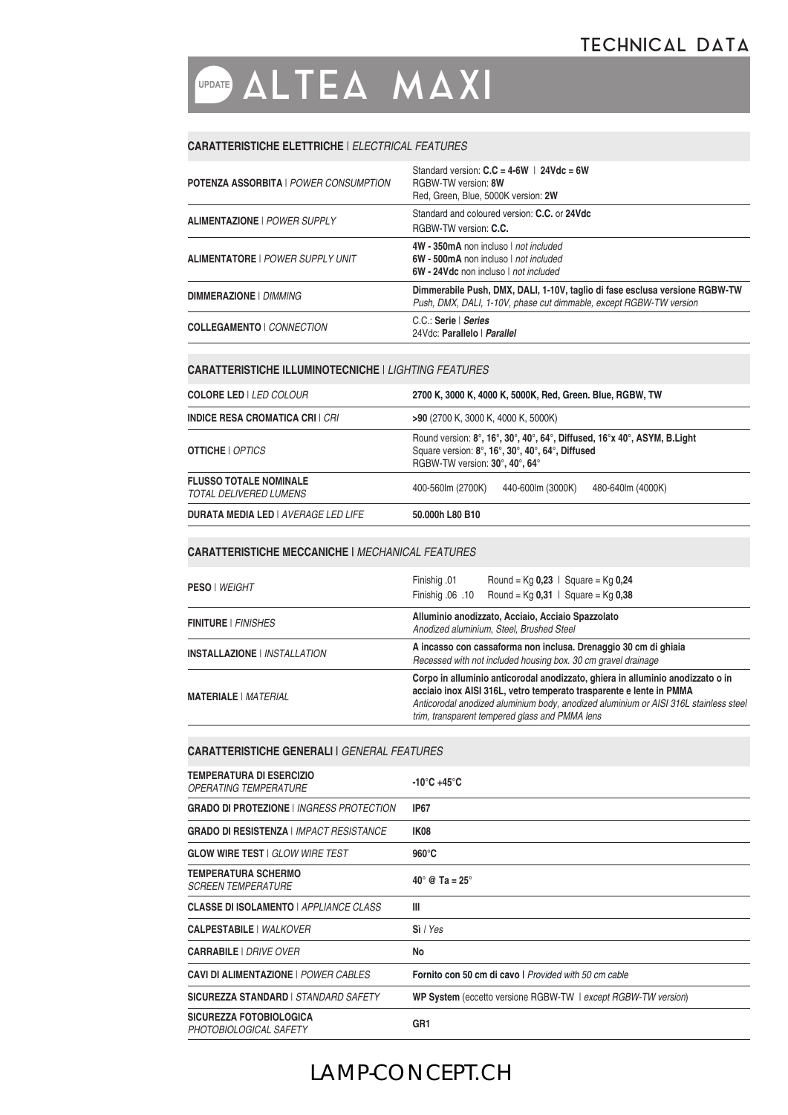## **OPDATE ALTEA MAXI**

#### **CARATTERISTICHE ELETTRICHE** | *ELECTRICAL FEATURES*

| <b>POTENZA ASSORBITA   POWER CONSUMPTION</b> | Standard version: $C.C = 4-6W$   24Vdc = 6W<br>RGRW-TW version: 8W<br>Red. Green. Blue. 5000K version: 2W                                         |
|----------------------------------------------|---------------------------------------------------------------------------------------------------------------------------------------------------|
| <b>ALIMENTAZIONE   POWER SUPPLY</b>          | Standard and coloured version: C.C. or 24Vdc<br>RGRW-TW version: C.C.                                                                             |
| <b>ALIMENTATORE   POWER SUPPLY UNIT</b>      | 4W - 350mA non incluso   not included<br>6W - 500mA non incluso   not included<br>6W - 24Vdc non incluso   not included                           |
| <b>DIMMERAZIONE   DIMMING</b>                | Dimmerabile Push, DMX, DALI, 1-10V, taglio di fase esclusa versione RGBW-TW<br>Push, DMX, DALI, 1-10V, phase cut dimmable, except RGBW-TW version |
| <b>COLLEGAMENTO   CONNECTION</b>             | C.C.: Serie   Series<br>24Vdc: Parallelo   Parallel                                                                                               |

#### **CARATTERISTICHE ILLUMINOTECNICHE** | *LIGHTING FEATURES*

| <b>COLORE LED   LED COLOUR</b>                          | 2700 K, 3000 K, 4000 K, 5000K, Red, Green. Blue, RGBW, TW                                                                                                      |
|---------------------------------------------------------|----------------------------------------------------------------------------------------------------------------------------------------------------------------|
| <b>INDICE RESA CROMATICA CRI   CRI</b>                  | >90 (2700 K, 3000 K, 4000 K, 5000K)                                                                                                                            |
| <b>OTTICHE</b>   <i>OPTICS</i>                          | Round version: 8°, 16°, 30°, 40°, 64°, Diffused, 16°x 40°, ASYM, B.Light<br>Square version: 8°, 16°, 30°, 40°, 64°, Diffused<br>RGBW-TW version: 30°, 40°, 64° |
| <b>FLUSSO TOTALE NOMINALE</b><br>TOTAL DELIVERED LUMENS | 400-560 m (2700K)<br>440-600 m (3000K)<br>480-640lm (4000K)                                                                                                    |
| <b>DURATA MEDIA LED   AVERAGE LED LIFE</b>              | 50.000h L80 B10                                                                                                                                                |

#### **CARATTERISTICHE MECCANICHE |** *MECHANICAL FEATURES*

| <b>PESO   WEIGHT</b>                | Finishig .01<br>Round = $Kq$ 0,23   Square = $Kq$ 0,24<br>Finishig .06 .10 Round = $Kq$ 0.31   Square = $Kq$ 0.38                                                                                                                                                                               |
|-------------------------------------|-------------------------------------------------------------------------------------------------------------------------------------------------------------------------------------------------------------------------------------------------------------------------------------------------|
| FINITURE   <i>FINISHES</i>          | Alluminio anodizzato, Acciaio, Acciaio Spazzolato<br>Anodized aluminium, Steel, Brushed Steel                                                                                                                                                                                                   |
| INSTALLAZIONE   <i>INSTALLATION</i> | A incasso con cassaforma non inclusa. Drenaggio 30 cm di ghiaia<br>Recessed with not included housing box. 30 cm gravel drainage                                                                                                                                                                |
| <b>MATERIALE</b>   <i>MATERIAL</i>  | Corpo in alluminio anticorodal anodizzato, ghiera in alluminio anodizzato o in<br>acciaio inox AISI 316L, vetro temperato trasparente e lente in PMMA<br>Anticorodal anodized aluminium body, anodized aluminium or AISI 316L stainless steel<br>trim, transparent tempered glass and PMMA lens |

#### **CARATTERISTICHE GENERALI |** *GENERAL FEATURES*

| <b>TEMPERATURA DI ESERCIZIO</b><br><i><b>OPERATING TEMPERATURE</b></i> | $-10^{\circ}$ C +45 $^{\circ}$ C                              |
|------------------------------------------------------------------------|---------------------------------------------------------------|
| <b>GRADO DI PROTEZIONE   INGRESS PROTECTION</b>                        | <b>IP67</b>                                                   |
| <b>GRADO DI RESISTENZA   IMPACT RESISTANCE</b>                         | IK08                                                          |
| <b>GLOW WIRE TEST   GLOW WIRE TEST</b>                                 | $960^\circ C$                                                 |
| <b>TEMPERATURA SCHERMO</b><br><b>SCREEN TEMPERATURE</b>                | $40^\circ$ @ Ta = 25 $^\circ$                                 |
| <b>CLASSE DI ISOLAMENTO</b>   APPLIANCE CLASS                          | Ш                                                             |
| <b>CALPESTABILE   WALKOVER</b>                                         | Si / Yes                                                      |
| <b>CARRABILE</b>   DRIVE OVER                                          | No                                                            |
| <b>CAVI DI ALIMENTAZIONE   POWER CABLES</b>                            | Fornito con 50 cm di cavo I Provided with 50 cm cable         |
| SICUREZZA STANDARD   STANDARD SAFETY                                   | WP System (eccetto versione RGBW-TW   except RGBW-TW version) |
| <b>SICUREZZA FOTOBIOLOGICA</b><br>PHOTOBIOLOGICAL SAFETY               | GR <sub>1</sub>                                               |

## LAMP-CONCEPT.CH